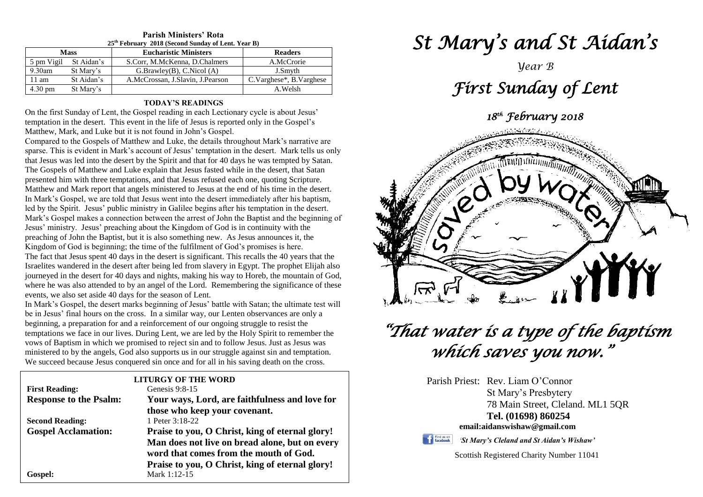| 25 <sup>th</sup> February 2018 (Second Sunday of Lent. Year B) |            |                                  |                         |  |  |  |
|----------------------------------------------------------------|------------|----------------------------------|-------------------------|--|--|--|
| <b>Mass</b>                                                    |            | <b>Eucharistic Ministers</b>     | <b>Readers</b>          |  |  |  |
| 5 pm Vigil                                                     | St Aidan's | S.Corr, M.McKenna, D.Chalmers    | A.McCrorie              |  |  |  |
| $9.30$ am                                                      | St Mary's  | G.Brawley(B), C.Nicol(A)         | J.Smyth                 |  |  |  |
| $11 \text{ am}$                                                | St Aidan's | A.McCrossan, J.Slavin, J.Pearson | C.Varghese*, B.Varghese |  |  |  |
| $4.30 \text{ pm}$                                              | St Mary's  |                                  | A.Welsh                 |  |  |  |

## **Parish Ministers' Rota**

#### **TODAY'S READINGS**

On the first Sunday of Lent, the Gospel reading in each Lectionary cycle is about Jesus' temptation in the desert. This event in the life of Jesus is reported only in the Gospel's Matthew, Mark, and Luke but it is not found in John's Gospel.

I he fact that Jesus spent 40 days in the desert is significant. This recalls the 40 years that the<br>Israelites wandered in the desert after being led from slavery in Egypt. The prophet Elijah also<br>journeyed in the desert f where he was also attended to by an angel of the Lord.<br>
events, we also set aside 40 days for the season of Lent.<br>
In Mark's Gospal, the desert marks beginning of Jesus' Compared to the Gospels of Matthew and Luke, the details throughout Mark's narrative are sparse. This is evident in Mark's account of Jesus' temptation in the desert. Mark tells us only that Jesus was led into the desert by the Spirit and that for 40 days he was tempted by Satan. The Gospels of Matthew and Luke explain that Jesus fasted while in the desert, that Satan presented him with three temptations, and that Jesus refused each one, quoting Scripture. Matthew and Mark report that angels ministered to Jesus at the end of his time in the desert. In Mark's Gospel, we are told that Jesus went into the desert immediately after his baptism, led by the Spirit. Jesus' public ministry in Galilee begins after his temptation in the desert. Mark's Gospel makes a connection between the arrest of John the Baptist and the beginning of Jesus' ministry. Jesus' preaching about the Kingdom of God is in continuity with the preaching of John the Baptist, but it is also something new. As Jesus announces it, the Kingdom of God is beginning; the time of the fulfilment of God's promises is here. The fact that Jesus spent 40 days in the desert is significant. This recalls the 40 years that the journeyed in the desert for 40 days and nights, making his way to Horeb, the mountain of God, where he was also attended to by an angel of the Lord. Remembering the significance of these

be in Jesus' final hours on the cross. In a similar way, our Lenten observances are on<br>beginning, a preparation for and a reinforcement of our ongoing struggle to resist the vows of Baptism in which we promised to reject sin and to follow Jesus. Just as Jesus was<br>
ministered to by the angels, God also supports us in our struggle against sin and temptation. In Mark's Gospel, the desert marks beginning of Jesus' battle with Satan; the ultimate test will be in Jesus' final hours on the cross. In a similar way, our Lenten observances are only a temptations we face in our lives. During Lent, we are led by the Holy Spirit to remember the vows of Baptism in which we promised to reject sin and to follow Jesus. Just as Jesus was We succeed because Jesus conquered sin once and for all in his saving death on the cross.

|                               | <b>LITURGY OF THE WORD</b>                                                               |
|-------------------------------|------------------------------------------------------------------------------------------|
| <b>First Reading:</b>         | Genesis $9:8-15$                                                                         |
| <b>Response to the Psalm:</b> | Your ways, Lord, are faithfulness and love for                                           |
|                               | those who keep your covenant.                                                            |
| <b>Second Reading:</b>        | 1 Peter 3:18-22                                                                          |
| <b>Gospel Acclamation:</b>    | Praise to you, O Christ, king of eternal glory!                                          |
|                               | Man does not live on bread alone, but on every<br>word that comes from the mouth of God. |
|                               | Praise to you, O Christ, king of eternal glory!                                          |
| Gospel:                       | Mark 1:12-15                                                                             |

# *St Mary's and St Aidan's*

# *Year B First Sunday of Lent 18th February 2018*



# *"That water is a type of the baptism which saves you now."*

Parish Priest: Rev. Liam O'Connor St Mary's Presbytery 78 Main Street, Cleland. ML1 5QR **Tel. (01698) 860254 email:aidanswishaw@gmail.com**

Find us on

*'St Mary's Cleland and St Aidan's Wishaw'*

Scottish Registered Charity Number 11041